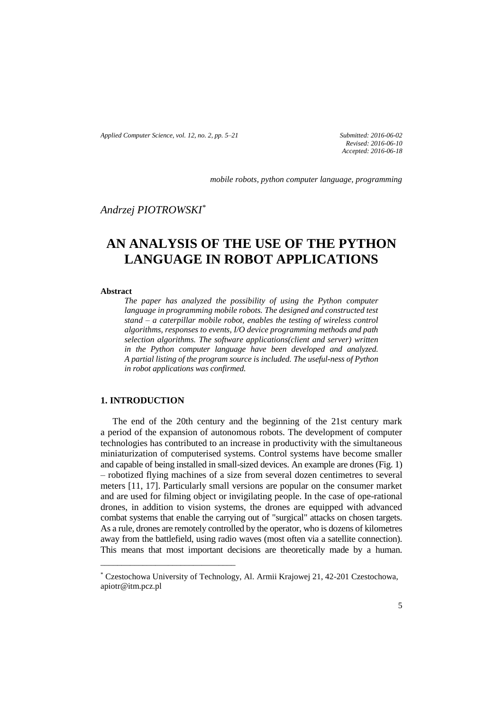*Applied Computer Science, vol. 12, no. 2, pp. 5–21 Submitted: 2016-06-02*

*Revised: 2016-06-10 Accepted: 2016-06-18*

*mobile robots, python computer language, programming*

# *Andrzej PIOTROWSKI\**

# **AN ANALYSIS OF THE USE OF THE PYTHON LANGUAGE IN ROBOT APPLICATIONS**

#### **Abstract**

*The paper has analyzed the possibility of using the Python computer*  language in programming mobile robots. The designed and constructed test *stand – a caterpillar mobile robot, enables the testing of wireless control algorithms, responses to events, I/O device programming methods and path selection algorithms. The software applications(client and server) written in the Python computer language have been developed and analyzed. A partial listing of the program source is included. The useful-ness of Python in robot applications was confirmed.*

## **1. INTRODUCTION**

\_\_\_\_\_\_\_\_\_\_\_\_\_\_\_\_\_\_\_\_\_\_\_\_\_\_\_\_\_\_\_\_

The end of the 20th century and the beginning of the 21st century mark a period of the expansion of autonomous robots. The development of computer technologies has contributed to an increase in productivity with the simultaneous miniaturization of computerised systems. Control systems have become smaller and capable of being installed in small-sized devices. An example are drones (Fig. 1) – robotized flying machines of a size from several dozen centimetres to several meters [11, 17]. Particularly small versions are popular on the consumer market and are used for filming object or invigilating people. In the case of ope-rational drones, in addition to vision systems, the drones are equipped with advanced combat systems that enable the carrying out of "surgical" attacks on chosen targets. As a rule, drones are remotely controlled by the operator, who is dozens of kilometres away from the battlefield, using radio waves (most often via a satellite connection). This means that most important decisions are theoretically made by a human.

<sup>\*</sup> Czestochowa University of Technology, Al. Armii Krajowej 21, 42-201 Czestochowa, apiotr@itm.pcz.pl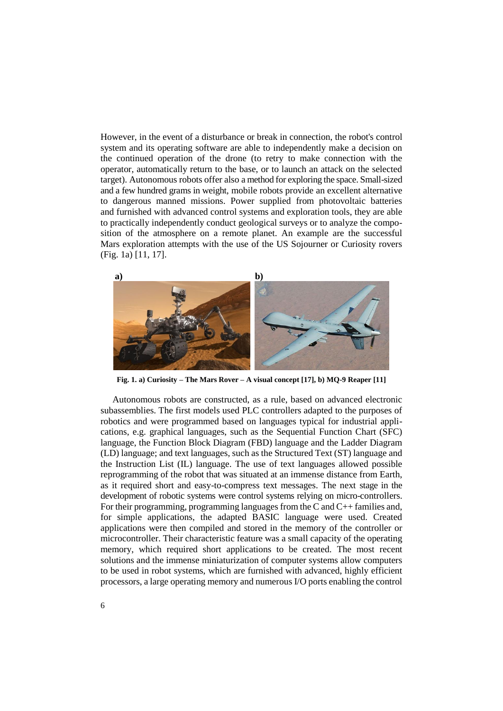However, in the event of a disturbance or break in connection, the robot's control system and its operating software are able to independently make a decision on the continued operation of the drone (to retry to make connection with the operator, automatically return to the base, or to launch an attack on the selected target). Autonomous robots offer also a method for exploring the space. Small-sized and a few hundred grams in weight, mobile robots provide an excellent alternative to dangerous manned missions. Power supplied from photovoltaic batteries and furnished with advanced control systems and exploration tools, they are able to practically independently conduct geological surveys or to analyze the composition of the atmosphere on a remote planet. An example are the successful Mars exploration attempts with the use of the US Sojourner or Curiosity rovers (Fig. 1a) [11, 17].



**Fig. 1. a) Curiosity – The Mars Rover – A visual concept [17], b) MQ-9 Reaper [11]**

Autonomous robots are constructed, as a rule, based on advanced electronic subassemblies. The first models used PLC controllers adapted to the purposes of robotics and were programmed based on languages typical for industrial applications, e.g. graphical languages, such as the Sequential Function Chart (SFC) language, the Function Block Diagram (FBD) language and the Ladder Diagram (LD) language; and text languages, such as the Structured Text (ST) language and the Instruction List (IL) language. The use of text languages allowed possible reprogramming of the robot that was situated at an immense distance from Earth, as it required short and easy-to-compress text messages. The next stage in the development of robotic systems were control systems relying on micro-controllers. For their programming, programming languages from the C and C++ families and, for simple applications, the adapted BASIC language were used. Created applications were then compiled and stored in the memory of the controller or microcontroller. Their characteristic feature was a small capacity of the operating memory, which required short applications to be created. The most recent solutions and the immense miniaturization of computer systems allow computers to be used in robot systems, which are furnished with advanced, highly efficient processors, a large operating memory and numerous I/O ports enabling the control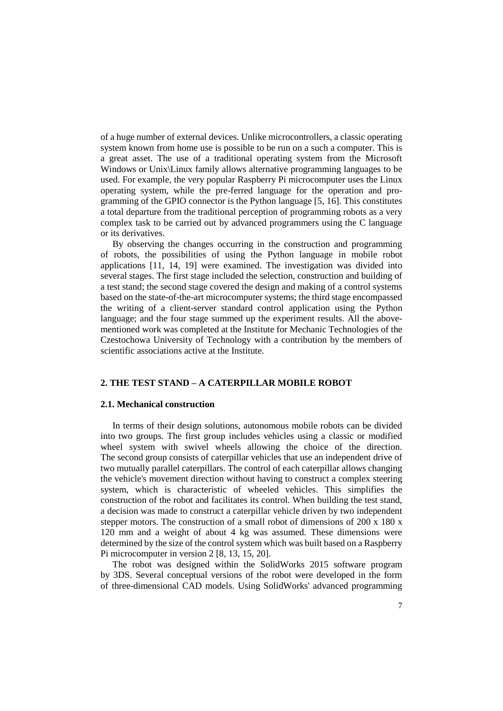of a huge number of external devices. Unlike microcontrollers, a classic operating system known from home use is possible to be run on a such a computer. This is a great asset. The use of a traditional operating system from the Microsoft Windows or Unix\Linux family allows alternative programming languages to be used. For example, the very popular Raspberry Pi microcomputer uses the Linux operating system, while the pre-ferred language for the operation and programming of the GPIO connector is the Python language [5, 16]. This constitutes a total departure from the traditional perception of programming robots as a very complex task to be carried out by advanced programmers using the C language or its derivatives.

By observing the changes occurring in the construction and programming of robots, the possibilities of using the Python language in mobile robot applications [11, 14, 19] were examined. The investigation was divided into several stages. The first stage included the selection, construction and building of a test stand; the second stage covered the design and making of a control systems based on the state-of-the-art microcomputer systems; the third stage encompassed the writing of a client-server standard control application using the Python language; and the four stage summed up the experiment results. All the abovementioned work was completed at the Institute for Mechanic Technologies of the Czestochowa University of Technology with a contribution by the members of scientific associations active at the Institute.

## **2. THE TEST STAND – A CATERPILLAR MOBILE ROBOT**

## **2.1. Mechanical construction**

In terms of their design solutions, autonomous mobile robots can be divided into two groups. The first group includes vehicles using a classic or modified wheel system with swivel wheels allowing the choice of the direction. The second group consists of caterpillar vehicles that use an independent drive of two mutually parallel caterpillars. The control of each caterpillar allows changing the vehicle's movement direction without having to construct a complex steering system, which is characteristic of wheeled vehicles. This simplifies the construction of the robot and facilitates its control. When building the test stand, a decision was made to construct a caterpillar vehicle driven by two independent stepper motors. The construction of a small robot of dimensions of 200 x 180 x 120 mm and a weight of about 4 kg was assumed. These dimensions were determined by the size of the control system which was built based on a Raspberry Pi microcomputer in version 2 [8, 13, 15, 20].

The robot was designed within the SolidWorks 2015 software program by 3DS. Several conceptual versions of the robot were developed in the form of three-dimensional CAD models. Using SolidWorks' advanced programming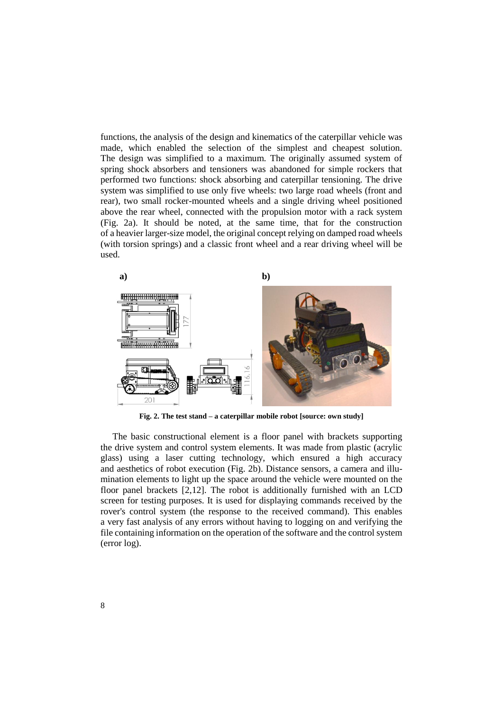functions, the analysis of the design and kinematics of the caterpillar vehicle was made, which enabled the selection of the simplest and cheapest solution. The design was simplified to a maximum. The originally assumed system of spring shock absorbers and tensioners was abandoned for simple rockers that performed two functions: shock absorbing and caterpillar tensioning. The drive system was simplified to use only five wheels: two large road wheels (front and rear), two small rocker-mounted wheels and a single driving wheel positioned above the rear wheel, connected with the propulsion motor with a rack system (Fig. 2a). It should be noted, at the same time, that for the construction of a heavier larger-size model, the original concept relying on damped road wheels (with torsion springs) and a classic front wheel and a rear driving wheel will be used.



**Fig. 2. The test stand – a caterpillar mobile robot [source: own study]**

The basic constructional element is a floor panel with brackets supporting the drive system and control system elements. It was made from plastic (acrylic glass) using a laser cutting technology, which ensured a high accuracy and aesthetics of robot execution (Fig. 2b). Distance sensors, a camera and illumination elements to light up the space around the vehicle were mounted on the floor panel brackets [2,12]. The robot is additionally furnished with an LCD screen for testing purposes. It is used for displaying commands received by the rover's control system (the response to the received command). This enables a very fast analysis of any errors without having to logging on and verifying the file containing information on the operation of the software and the control system (error log).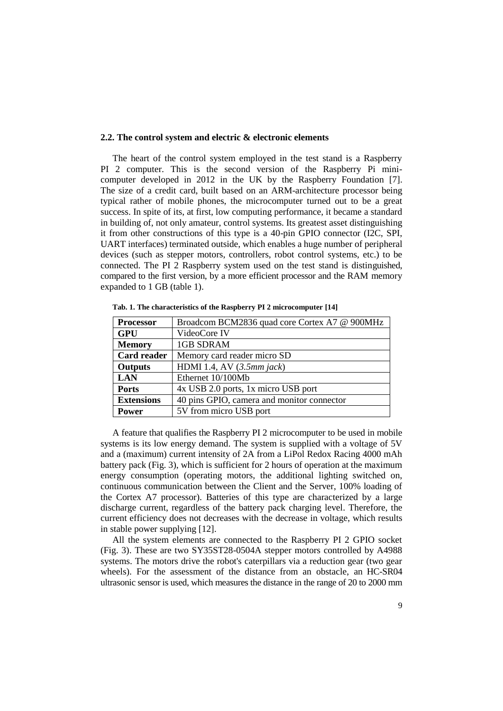#### **2.2. The control system and electric & electronic elements**

The heart of the control system employed in the test stand is a Raspberry PI 2 computer. This is the second version of the Raspberry Pi minicomputer developed in 2012 in the UK by the Raspberry Foundation [7]. The size of a credit card, built based on an ARM-architecture processor being typical rather of mobile phones, the microcomputer turned out to be a great success. In spite of its, at first, low computing performance, it became a standard in building of, not only amateur, control systems. Its greatest asset distinguishing it from other constructions of this type is a 40-pin GPIO connector (I2C, SPI, UART interfaces) terminated outside, which enables a huge number of peripheral devices (such as stepper motors, controllers, robot control systems, etc.) to be connected. The PI 2 Raspberry system used on the test stand is distinguished, compared to the first version, by a more efficient processor and the RAM memory expanded to 1 GB (table 1).

| <b>Processor</b>   | Broadcom BCM2836 quad core Cortex A7 @ 900MHz |
|--------------------|-----------------------------------------------|
| <b>GPU</b>         | VideoCore IV                                  |
| <b>Memory</b>      | <b>1GB SDRAM</b>                              |
| <b>Card reader</b> | Memory card reader micro SD                   |
| <b>Outputs</b>     | HDMI 1.4, AV $(3.5mm$ jack)                   |
| <b>LAN</b>         | Ethernet 10/100Mb                             |
| <b>Ports</b>       | 4x USB 2.0 ports, 1x micro USB port           |
| <b>Extensions</b>  | 40 pins GPIO, camera and monitor connector    |
| <b>Power</b>       | 5V from micro USB port                        |

**Tab. 1. The characteristics of the Raspberry PI 2 microcomputer [14]**

A feature that qualifies the Raspberry PI 2 microcomputer to be used in mobile systems is its low energy demand. The system is supplied with a voltage of 5V and a (maximum) current intensity of 2A from a LiPol Redox Racing 4000 mAh battery pack (Fig. 3), which is sufficient for 2 hours of operation at the maximum energy consumption (operating motors, the additional lighting switched on, continuous communication between the Client and the Server, 100% loading of the Cortex A7 processor). Batteries of this type are characterized by a large discharge current, regardless of the battery pack charging level. Therefore, the current efficiency does not decreases with the decrease in voltage, which results in stable power supplying [12].

All the system elements are connected to the Raspberry PI 2 GPIO socket (Fig. 3). These are two SY35ST28-0504A stepper motors controlled by A4988 systems. The motors drive the robot's caterpillars via a reduction gear (two gear wheels). For the assessment of the distance from an obstacle, an HC-SR04 ultrasonic sensor is used, which measures the distance in the range of 20 to 2000 mm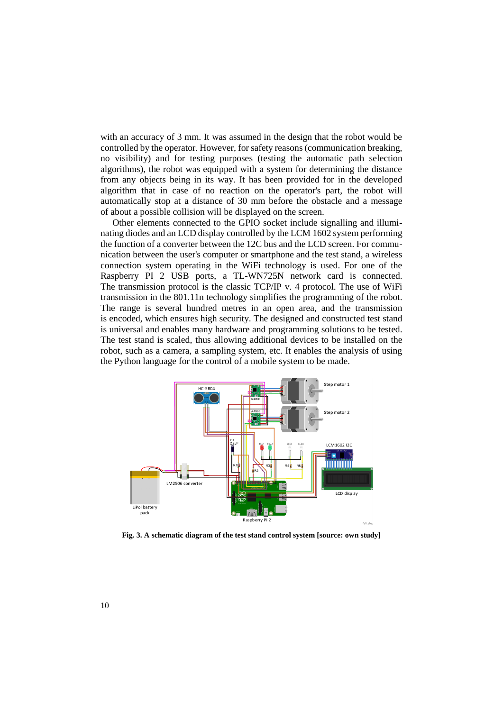with an accuracy of 3 mm. It was assumed in the design that the robot would be controlled by the operator. However, for safety reasons (communication breaking, no visibility) and for testing purposes (testing the automatic path selection algorithms), the robot was equipped with a system for determining the distance from any objects being in its way. It has been provided for in the developed algorithm that in case of no reaction on the operator's part, the robot will automatically stop at a distance of 30 mm before the obstacle and a message of about a possible collision will be displayed on the screen.

Other elements connected to the GPIO socket include signalling and illuminating diodes and an LCD display controlled by the LCM 1602 system performing the function of a converter between the 12C bus and the LCD screen. For communication between the user's computer or smartphone and the test stand, a wireless connection system operating in the WiFi technology is used. For one of the Raspberry PI 2 USB ports, a TL-WN725N network card is connected. The transmission protocol is the classic TCP/IP v. 4 protocol. The use of WiFi transmission in the 801.11n technology simplifies the programming of the robot. The range is several hundred metres in an open area, and the transmission is encoded, which ensures high security. The designed and constructed test stand is universal and enables many hardware and programming solutions to be tested. The test stand is scaled, thus allowing additional devices to be installed on the robot, such as a camera, a sampling system, etc. It enables the analysis of using the Python language for the control of a mobile system to be made.



**Fig. 3. A schematic diagram of the test stand control system [source: own study]**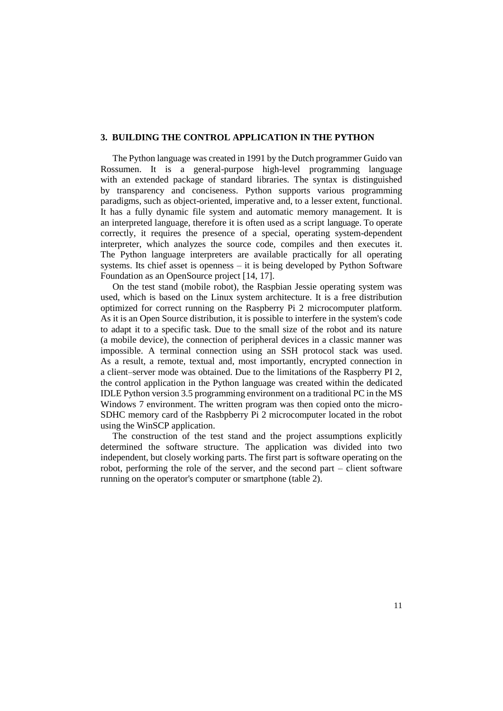## **3. BUILDING THE CONTROL APPLICATION IN THE PYTHON**

The Python language was created in 1991 by the Dutch programmer Guido van Rossumen. It is a general-purpose high-level programming language with an extended package of standard libraries. The syntax is distinguished by transparency and conciseness. Python supports various programming paradigms, such as object-oriented, imperative and, to a lesser extent, functional. It has a fully dynamic file system and automatic memory management. It is an interpreted language, therefore it is often used as a script language. To operate correctly, it requires the presence of a special, operating system-dependent interpreter, which analyzes the source code, compiles and then executes it. The Python language interpreters are available practically for all operating systems. Its chief asset is openness – it is being developed by Python Software Foundation as an OpenSource project [14, 17].

On the test stand (mobile robot), the Raspbian Jessie operating system was used, which is based on the Linux system architecture. It is a free distribution optimized for correct running on the Raspberry Pi 2 microcomputer platform. As it is an Open Source distribution, it is possible to interfere in the system's code to adapt it to a specific task. Due to the small size of the robot and its nature (a mobile device), the connection of peripheral devices in a classic manner was impossible. A terminal connection using an SSH protocol stack was used. As a result, a remote, textual and, most importantly, encrypted connection in a client–server mode was obtained. Due to the limitations of the Raspberry PI 2, the control application in the Python language was created within the dedicated IDLE Python version 3.5 programming environment on a traditional PC in the MS Windows 7 environment. The written program was then copied onto the micro-SDHC memory card of the Rasbpberry Pi 2 microcomputer located in the robot using the WinSCP application.

The construction of the test stand and the project assumptions explicitly determined the software structure. The application was divided into two independent, but closely working parts. The first part is software operating on the robot, performing the role of the server, and the second part – client software running on the operator's computer or smartphone (table 2).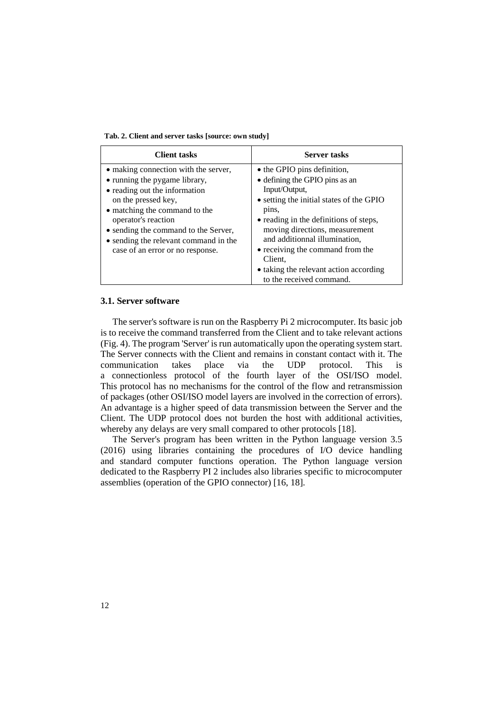| Tab. 2. Client and server tasks [source: own study] |  |  |  |  |  |  |  |
|-----------------------------------------------------|--|--|--|--|--|--|--|
|-----------------------------------------------------|--|--|--|--|--|--|--|

| <b>Client tasks</b>                                                                                                                                                                                                                                                                                        | <b>Server tasks</b>                                                                                                                                                                                                                                                                                                                       |
|------------------------------------------------------------------------------------------------------------------------------------------------------------------------------------------------------------------------------------------------------------------------------------------------------------|-------------------------------------------------------------------------------------------------------------------------------------------------------------------------------------------------------------------------------------------------------------------------------------------------------------------------------------------|
| • making connection with the server,<br>• running the pygame library,<br>• reading out the information<br>on the pressed key,<br>• matching the command to the<br>operator's reaction<br>• sending the command to the Server,<br>• sending the relevant command in the<br>case of an error or no response. | • the GPIO pins definition,<br>• defining the GPIO pins as an<br>Input/Output,<br>• setting the initial states of the GPIO<br>pins,<br>• reading in the definitions of steps,<br>moving directions, measurement<br>and additionnal illumination,<br>• receiving the command from the<br>Client.<br>• taking the relevant action according |
|                                                                                                                                                                                                                                                                                                            | to the received command.                                                                                                                                                                                                                                                                                                                  |

## **3.1. Server software**

The server's software is run on the Raspberry Pi 2 microcomputer. Its basic job is to receive the command transferred from the Client and to take relevant actions (Fig. 4). The program 'Server' is run automatically upon the operating system start. The Server connects with the Client and remains in constant contact with it. The communication takes place via the UDP protocol. This is a connectionless protocol of the fourth layer of the OSI/ISO model. This protocol has no mechanisms for the control of the flow and retransmission of packages (other OSI/ISO model layers are involved in the correction of errors). An advantage is a higher speed of data transmission between the Server and the Client. The UDP protocol does not burden the host with additional activities, whereby any delays are very small compared to other protocols [18].

The Server's program has been written in the Python language version 3.5 (2016) using libraries containing the procedures of I/O device handling and standard computer functions operation. The Python language version dedicated to the Raspberry PI 2 includes also libraries specific to microcomputer assemblies (operation of the GPIO connector) [16, 18].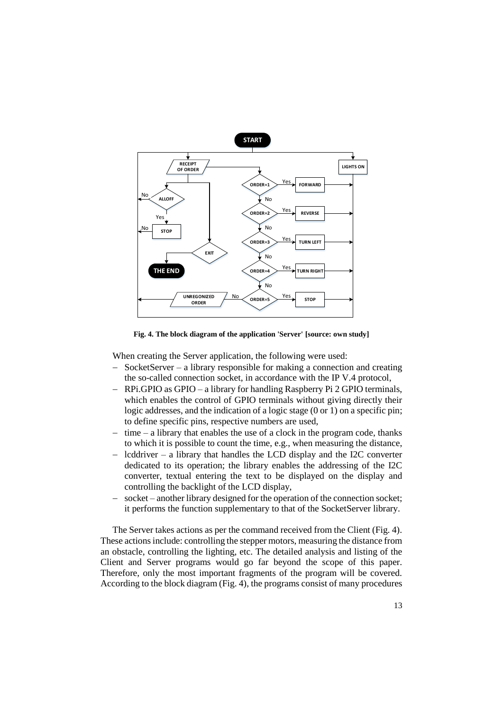

**Fig. 4. The block diagram of the application 'Server' [source: own study]**

When creating the Server application, the following were used:

- SocketServer a library responsible for making a connection and creating the so-called connection socket, in accordance with the IP V.4 protocol,
- RPi.GPIO as GPIO a library for handling Raspberry Pi 2 GPIO terminals, which enables the control of GPIO terminals without giving directly their logic addresses, and the indication of a logic stage (0 or 1) on a specific pin; to define specific pins, respective numbers are used,
- $-$  time  $-$  a library that enables the use of a clock in the program code, thanks to which it is possible to count the time, e.g., when measuring the distance,
- lcddriver a library that handles the LCD display and the I2C converter dedicated to its operation; the library enables the addressing of the I2C converter, textual entering the text to be displayed on the display and controlling the backlight of the LCD display,
- socket another library designed for the operation of the connection socket; it performs the function supplementary to that of the SocketServer library.

The Server takes actions as per the command received from the Client (Fig. 4). These actions include: controlling the stepper motors, measuring the distance from an obstacle, controlling the lighting, etc. The detailed analysis and listing of the Client and Server programs would go far beyond the scope of this paper. Therefore, only the most important fragments of the program will be covered. According to the block diagram (Fig. 4), the programs consist of many procedures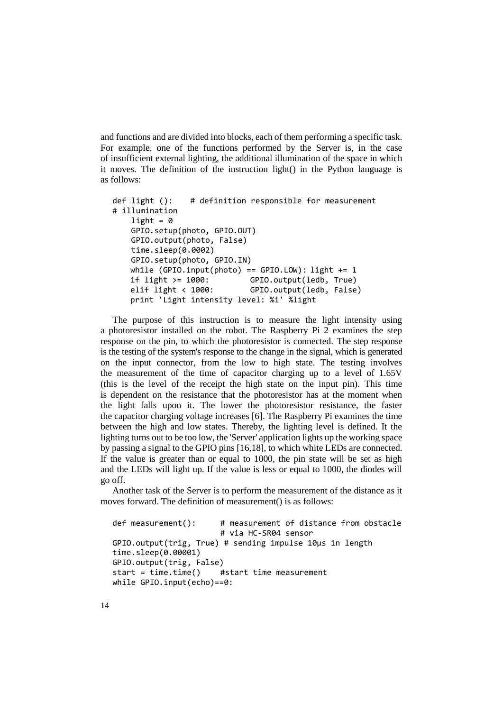and functions and are divided into blocks, each of them performing a specific task. For example, one of the functions performed by the Server is, in the case of insufficient external lighting, the additional illumination of the space in which it moves. The definition of the instruction light() in the Python language is as follows:

```
def light (): # definition responsible for measurement
# illumination
   light = 0 GPIO.setup(photo, GPIO.OUT)
    GPIO.output(photo, False)
    time.sleep(0.0002)
    GPIO.setup(photo, GPIO.IN)
   while (GPIO.input(photo) == GPIO.LOW): light += 1if light >= 1000: GPIO.output(ledb, True)
   elif light < 1000: GPIO.output(ledb, False)
   print 'Light intensity level: %i' %light
```
The purpose of this instruction is to measure the light intensity using a photoresistor installed on the robot. The Raspberry Pi 2 examines the step response on the pin, to which the photoresistor is connected. The step response is the testing of the system's response to the change in the signal, which is generated on the input connector, from the low to high state. The testing involves the measurement of the time of capacitor charging up to a level of 1.65V (this is the level of the receipt the high state on the input pin). This time is dependent on the resistance that the photoresistor has at the moment when the light falls upon it. The lower the photoresistor resistance, the faster the capacitor charging voltage increases [6]. The Raspberry Pi examines the time between the high and low states. Thereby, the lighting level is defined. It the lighting turns out to be too low, the 'Server' application lights up the working space by passing a signal to the GPIO pins [16,18], to which white LEDs are connected. If the value is greater than or equal to 1000, the pin state will be set as high and the LEDs will light up. If the value is less or equal to 1000, the diodes will go off.

Another task of the Server is to perform the measurement of the distance as it moves forward. The definition of measurement() is as follows:

```
def measurement(): # measurement of distance from obstacle
                      # via HC-SR04 sensor 
GPIO.output(trig, True) # sending impulse 10µs in length
time.sleep(0.00001)
GPIO.output(trig, False)
start = time.time() #start time measurement
while GPIO.input(echo)==0:
```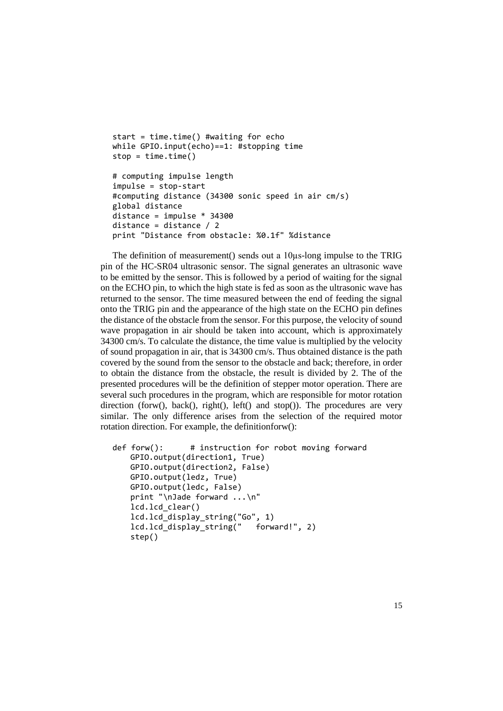```
start = time.time() #waiting for echo
while GPIO.input(echo)==1: #stopping time
stop = time.time()# computing impulse length
impulse = stop-start
#computing distance (34300 sonic speed in air cm/s)
global distance
distance = impulse * 34300
distance = distance / 2
print "Distance from obstacle: %0.1f" %distance
```
The definition of measurement() sends out a 10µs-long impulse to the TRIG pin of the HC-SR04 ultrasonic sensor. The signal generates an ultrasonic wave to be emitted by the sensor. This is followed by a period of waiting for the signal on the ECHO pin, to which the high state is fed as soon as the ultrasonic wave has returned to the sensor. The time measured between the end of feeding the signal onto the TRIG pin and the appearance of the high state on the ECHO pin defines the distance of the obstacle from the sensor. For this purpose, the velocity of sound wave propagation in air should be taken into account, which is approximately 34300 cm/s. To calculate the distance, the time value is multiplied by the velocity of sound propagation in air, that is 34300 cm/s. Thus obtained distance is the path covered by the sound from the sensor to the obstacle and back; therefore, in order to obtain the distance from the obstacle, the result is divided by 2. The of the presented procedures will be the definition of stepper motor operation. There are several such procedures in the program, which are responsible for motor rotation direction (forw(), back(), right(), left() and stop()). The procedures are very similar. The only difference arises from the selection of the required motor rotation direction. For example, the definitionforw():

```
def forw(): # instruction for robot moving forward
   GPIO.output(direction1, True)
   GPIO.output(direction2, False)
   GPIO.output(ledz, True)
   GPIO.output(ledc, False)
   print "\nJade forward ...\n"
   lcd.lcd_clear()
   lcd.lcd_display_string("Go", 1)
   lcd.lcd_display_string(" forward!", 2)
   step()
```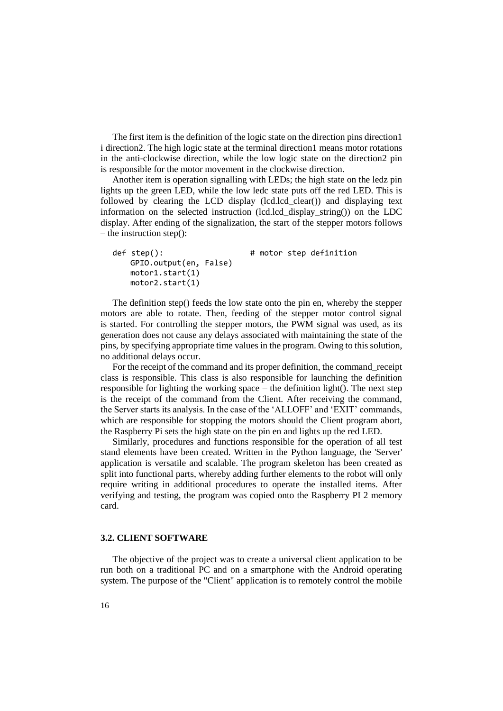The first item is the definition of the logic state on the direction pins direction1 i direction2. The high logic state at the terminal direction1 means motor rotations in the anti-clockwise direction, while the low logic state on the direction2 pin is responsible for the motor movement in the clockwise direction.

Another item is operation signalling with LEDs; the high state on the ledz pin lights up the green LED, while the low ledc state puts off the red LED. This is followed by clearing the LCD display (lcd.lcd\_clear()) and displaying text information on the selected instruction (lcd.lcd\_display\_string()) on the LDC display. After ending of the signalization, the start of the stepper motors follows – the instruction step():

```
def step(): # motor step definition
   GPIO.output(en, False)
   motor1.start(1)
   motor2.start(1)
```
The definition step() feeds the low state onto the pin en, whereby the stepper motors are able to rotate. Then, feeding of the stepper motor control signal is started. For controlling the stepper motors, the PWM signal was used, as its generation does not cause any delays associated with maintaining the state of the pins, by specifying appropriate time values in the program. Owing to this solution, no additional delays occur.

For the receipt of the command and its proper definition, the command\_receipt class is responsible. This class is also responsible for launching the definition responsible for lighting the working space – the definition light(). The next step is the receipt of the command from the Client. After receiving the command, the Server starts its analysis. In the case of the 'ALLOFF' and 'EXIT' commands, which are responsible for stopping the motors should the Client program abort, the Raspberry Pi sets the high state on the pin en and lights up the red LED.

Similarly, procedures and functions responsible for the operation of all test stand elements have been created. Written in the Python language, the 'Server' application is versatile and scalable. The program skeleton has been created as split into functional parts, whereby adding further elements to the robot will only require writing in additional procedures to operate the installed items. After verifying and testing, the program was copied onto the Raspberry PI 2 memory card.

## **3.2. CLIENT SOFTWARE**

The objective of the project was to create a universal client application to be run both on a traditional PC and on a smartphone with the Android operating system. The purpose of the "Client" application is to remotely control the mobile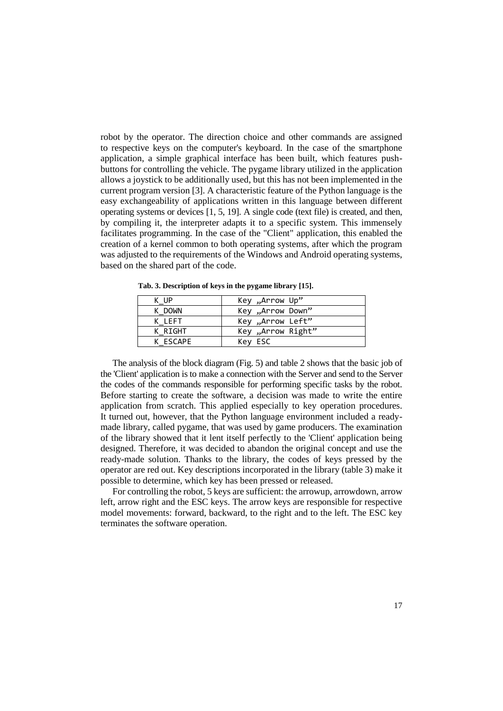robot by the operator. The direction choice and other commands are assigned to respective keys on the computer's keyboard. In the case of the smartphone application, a simple graphical interface has been built, which features pushbuttons for controlling the vehicle. The pygame library utilized in the application allows a joystick to be additionally used, but this has not been implemented in the current program version [3]. A characteristic feature of the Python language is the easy exchangeability of applications written in this language between different operating systems or devices [1, 5, 19]. A single code (text file) is created, and then, by compiling it, the interpreter adapts it to a specific system. This immensely facilitates programming. In the case of the "Client" application, this enabled the creation of a kernel common to both operating systems, after which the program was adjusted to the requirements of the Windows and Android operating systems, based on the shared part of the code.

| K UP     | Key "Arrow Up"     |
|----------|--------------------|
| K DOWN   | Key "Arrow Down"   |
| K LEFT   | Key "Arrow Left"   |
| K RIGHT  | "Arrow Right, Key, |
| K ESCAPE | Key ESC            |

 **Tab. 3. Description of keys in the pygame library [15].**

The analysis of the block diagram (Fig. 5) and table 2 shows that the basic job of the 'Client' application is to make a connection with the Server and send to the Server the codes of the commands responsible for performing specific tasks by the robot. Before starting to create the software, a decision was made to write the entire application from scratch. This applied especially to key operation procedures. It turned out, however, that the Python language environment included a readymade library, called pygame, that was used by game producers. The examination of the library showed that it lent itself perfectly to the 'Client' application being designed. Therefore, it was decided to abandon the original concept and use the ready-made solution. Thanks to the library, the codes of keys pressed by the operator are red out. Key descriptions incorporated in the library (table 3) make it possible to determine, which key has been pressed or released.

For controlling the robot, 5 keys are sufficient: the arrowup, arrowdown, arrow left, arrow right and the ESC keys. The arrow keys are responsible for respective model movements: forward, backward, to the right and to the left. The ESC key terminates the software operation.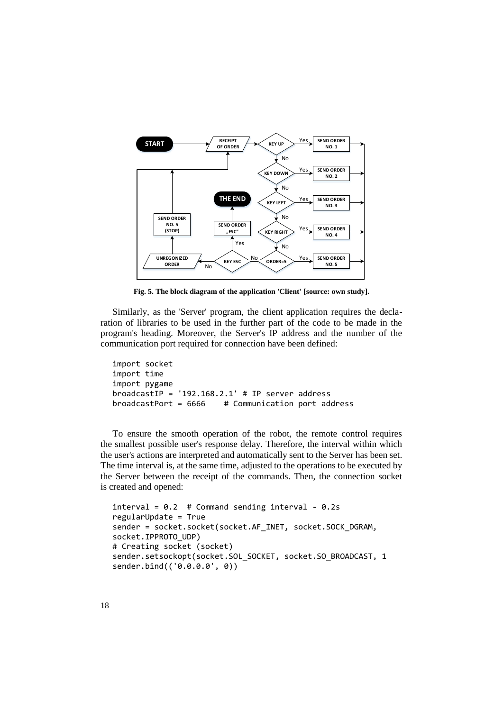

**Fig. 5. The block diagram of the application 'Client' [source: own study].**

Similarly, as the 'Server' program, the client application requires the declaration of libraries to be used in the further part of the code to be made in the program's heading. Moreover, the Server's IP address and the number of the communication port required for connection have been defined:

```
import socket
import time
import pygame
broadcastIP = '192.168.2.1' # IP server address
broadcastPort = 6666 # Communication port address
```
To ensure the smooth operation of the robot, the remote control requires the smallest possible user's response delay. Therefore, the interval within which the user's actions are interpreted and automatically sent to the Server has been set. The time interval is, at the same time, adjusted to the operations to be executed by the Server between the receipt of the commands. Then, the connection socket is created and opened:

```
interval = 0.2 # Command sending interval - 0.2s
regularUpdate = True
sender = socket.socket(socket.AF_INET, socket.SOCK_DGRAM, 
socket.IPPROTO_UDP) 
# Creating socket (socket)
sender.setsockopt(socket.SOL_SOCKET, socket.SO_BROADCAST, 1
sender.bind(('0.0.0.0', 0))
```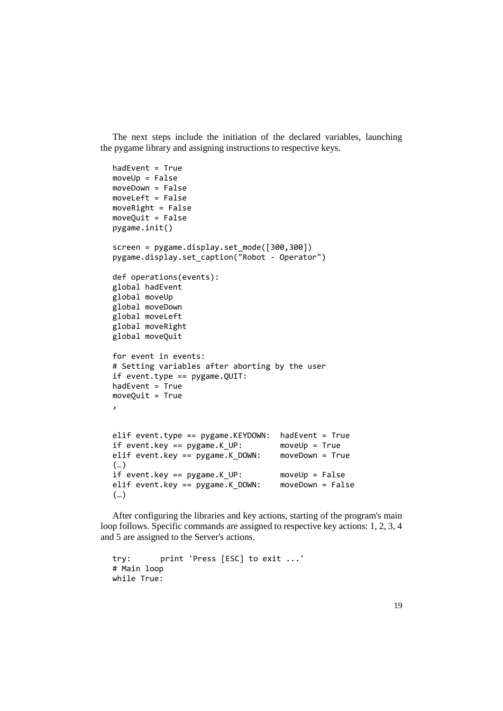The next steps include the initiation of the declared variables, launching the pygame library and assigning instructions to respective keys.

```
hadEvent = TruemoveUp = False
moveDown = False
moveLeft = False
moveRight = False
moveQuit = False
pygame.init()
screen = pygame.display.set mode([300,300])
pygame.display.set_caption("Robot - Operator")
def operations(events):
global hadEvent
global moveUp
global moveDown
global moveLeft
global moveRight
global moveQuit
for event in events:
# Setting variables after aborting by the user
if event.type == pygame.QUIT:
hadEvent = TruemoveQuit = True
,
elif event.type == pygame.KEYDOWN: hadEvent = True
if event.key == pygame.K_UP: moveUp = True
elif event.key == pygame.K_DOWN: moveDown = True
(…)
if event.key == pygame.K_UP: moveUp = False
elif event.key == pygame.K_DOWN: moveDown = False
(…)
```
After configuring the libraries and key actions, starting of the program's main loop follows. Specific commands are assigned to respective key actions: 1, 2, 3, 4 and 5 are assigned to the Server's actions.

```
try: print 'Press [ESC] to exit ...'
# Main loop
while True:
```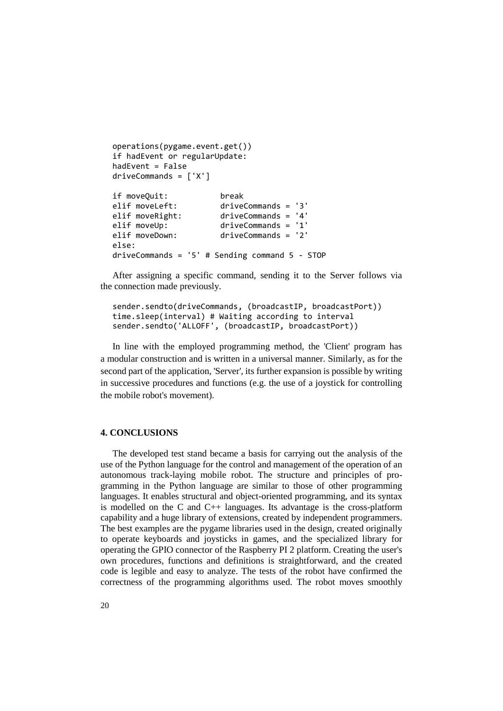```
operations(pygame.event.get())
if hadEvent or regularUpdate:
hadEvent = False
driveCommands = ['X']
if moveQuit: break
elif moveLeft: driveCommands = '3'
elif moveRight: driveCommands = '4'
elif moveUp: driveCommands = '1'<br>elif moveDown: driveCommands = '2'
                       driveCommands = '2'else:
driveCommands = '5' # Sending command 5 - STOP
```
After assigning a specific command, sending it to the Server follows via the connection made previously.

```
sender.sendto(driveCommands, (broadcastIP, broadcastPort))
time.sleep(interval) # Waiting according to interval
sender.sendto('ALLOFF', (broadcastIP, broadcastPort))
```
In line with the employed programming method, the 'Client' program has a modular construction and is written in a universal manner. Similarly, as for the second part of the application, 'Server', its further expansion is possible by writing in successive procedures and functions (e.g. the use of a joystick for controlling the mobile robot's movement).

## **4. CONCLUSIONS**

The developed test stand became a basis for carrying out the analysis of the use of the Python language for the control and management of the operation of an autonomous track-laying mobile robot. The structure and principles of programming in the Python language are similar to those of other programming languages. It enables structural and object-oriented programming, and its syntax is modelled on the C and  $C_{++}$  languages. Its advantage is the cross-platform capability and a huge library of extensions, created by independent programmers. The best examples are the pygame libraries used in the design, created originally to operate keyboards and joysticks in games, and the specialized library for operating the GPIO connector of the Raspberry PI 2 platform. Creating the user's own procedures, functions and definitions is straightforward, and the created code is legible and easy to analyze. The tests of the robot have confirmed the correctness of the programming algorithms used. The robot moves smoothly